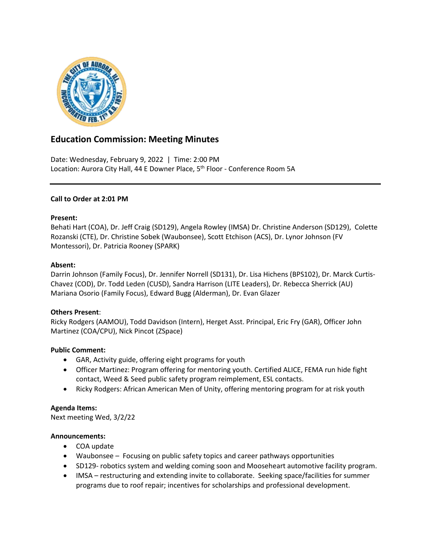

# **Education Commission: Meeting Minutes**

Date: Wednesday, February 9, 2022 | Time: 2:00 PM Location: Aurora City Hall, 44 E Downer Place, 5<sup>th</sup> Floor - Conference Room 5A

## **Call to Order at 2:01 PM**

### **Present:**

Behati Hart (COA), Dr. Jeff Craig (SD129), Angela Rowley (IMSA) Dr. Christine Anderson (SD129), Colette Rozanski (CTE), Dr. Christine Sobek (Waubonsee), Scott Etchison (ACS), Dr. Lynor Johnson (FV Montessori), Dr. Patricia Rooney (SPARK)

### **Absent:**

Darrin Johnson (Family Focus), Dr. Jennifer Norrell (SD131), Dr. Lisa Hichens (BPS102), Dr. Marck Curtis-Chavez (COD), Dr. Todd Leden (CUSD), Sandra Harrison (LITE Leaders), Dr. Rebecca Sherrick (AU) Mariana Osorio (Family Focus), Edward Bugg (Alderman), Dr. Evan Glazer

### **Others Present**:

Ricky Rodgers (AAMOU), Todd Davidson (Intern), Herget Asst. Principal, Eric Fry (GAR), Officer John Martinez (COA/CPU), Nick Pincot (ZSpace)

### **Public Comment:**

- GAR, Activity guide, offering eight programs for youth
- Officer Martinez: Program offering for mentoring youth. Certified ALICE, FEMA run hide fight contact, Weed & Seed public safety program reimplement, ESL contacts.
- Ricky Rodgers: African American Men of Unity, offering mentoring program for at risk youth

### **Agenda Items:**

Next meeting Wed, 3/2/22

### **Announcements:**

- COA update
- Waubonsee Focusing on public safety topics and career pathways opportunities
- SD129- robotics system and welding coming soon and Mooseheart automotive facility program.
- IMSA restructuring and extending invite to collaborate. Seeking space/facilities for summer programs due to roof repair; incentives for scholarships and professional development.